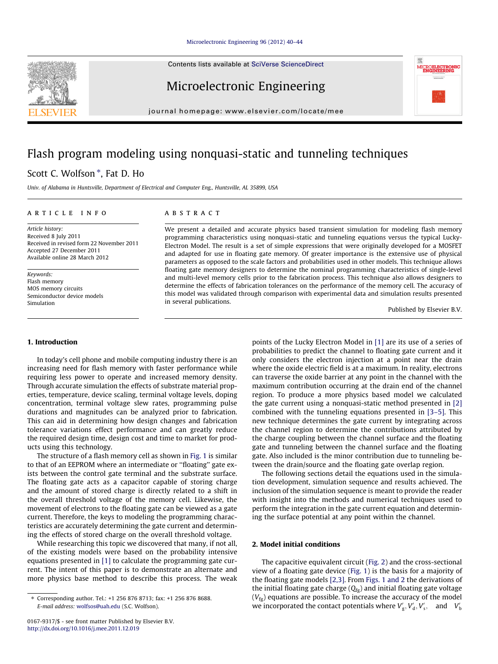Contents lists available at [SciVerse ScienceDirect](http://www.sciencedirect.com/science/journal/01679317)

Microelectronic Engineering

journal homepage: [www.elsevier.com/locate/mee](http://www.elsevier.com/locate/mee)

# Flash program modeling using nonquasi-static and tunneling techniques

### Scott C. Wolfson  $^*$ , Fat D. Ho

Univ. of Alabama in Huntsville, Department of Electrical and Computer Eng., Huntsville, AL 35899, USA

#### article info

Article history: Received 8 July 2011 Received in revised form 22 November 2011 Accepted 27 December 2011 Available online 28 March 2012

Keywords: Flash memory MOS memory circuits Semiconductor device models Simulation

#### 1. Introduction

In today's cell phone and mobile computing industry there is an increasing need for flash memory with faster performance while requiring less power to operate and increased memory density. Through accurate simulation the effects of substrate material properties, temperature, device scaling, terminal voltage levels, doping concentration, terminal voltage slew rates, programming pulse durations and magnitudes can be analyzed prior to fabrication. This can aid in determining how design changes and fabrication tolerance variations effect performance and can greatly reduce the required design time, design cost and time to market for products using this technology.

The structure of a flash memory cell as shown in [Fig. 1](#page-1-0) is similar to that of an EEPROM where an intermediate or ''floating'' gate exists between the control gate terminal and the substrate surface. The floating gate acts as a capacitor capable of storing charge and the amount of stored charge is directly related to a shift in the overall threshold voltage of the memory cell. Likewise, the movement of electrons to the floating gate can be viewed as a gate current. Therefore, the keys to modeling the programming characteristics are accurately determining the gate current and determining the effects of stored charge on the overall threshold voltage.

While researching this topic we discovered that many, if not all, of the existing models were based on the probability intensive equations presented in [\[1\]](#page--1-0) to calculate the programming gate current. The intent of this paper is to demonstrate an alternate and more physics base method to describe this process. The weak

#### **ABSTRACT**

We present a detailed and accurate physics based transient simulation for modeling flash memory programming characteristics using nonquasi-static and tunneling equations versus the typical Lucky-Electron Model. The result is a set of simple expressions that were originally developed for a MOSFET and adapted for use in floating gate memory. Of greater importance is the extensive use of physical parameters as opposed to the scale factors and probabilities used in other models. This technique allows floating gate memory designers to determine the nominal programming characteristics of single-level and multi-level memory cells prior to the fabrication process. This technique also allows designers to determine the effects of fabrication tolerances on the performance of the memory cell. The accuracy of this model was validated through comparison with experimental data and simulation results presented in several publications.

Published by Elsevier B.V.

points of the Lucky Electron Model in [\[1\]](#page--1-0) are its use of a series of probabilities to predict the channel to floating gate current and it only considers the electron injection at a point near the drain where the oxide electric field is at a maximum. In reality, electrons can traverse the oxide barrier at any point in the channel with the maximum contribution occurring at the drain end of the channel region. To produce a more physics based model we calculated the gate current using a nonquasi-static method presented in [\[2\]](#page--1-0) combined with the tunneling equations presented in [\[3–5\].](#page--1-0) This new technique determines the gate current by integrating across the channel region to determine the contributions attributed by the charge coupling between the channel surface and the floating gate and tunneling between the channel surface and the floating gate. Also included is the minor contribution due to tunneling between the drain/source and the floating gate overlap region.

The following sections detail the equations used in the simulation development, simulation sequence and results achieved. The inclusion of the simulation sequence is meant to provide the reader with insight into the methods and numerical techniques used to perform the integration in the gate current equation and determining the surface potential at any point within the channel.

#### 2. Model initial conditions

The capacitive equivalent circuit ([Fig. 2\)](#page-1-0) and the cross-sectional view of a floating gate device [\(Fig. 1\)](#page-1-0) is the basis for a majority of the floating gate models [\[2,3\].](#page--1-0) From [Figs. 1 and 2](#page-1-0) the derivations of the initial floating gate charge  $(Q_{fg})$  and initial floating gate voltage  $(V<sub>fg</sub>)$  equations are possible. To increase the accuracy of the model we incorporated the contact potentials where  $V'_g, V'_g, V'_g, \text{ and } V'_g$ 





<sup>⇑</sup> Corresponding author. Tel.: +1 256 876 8713; fax: +1 256 876 8688. E-mail address: [wolfsos@uah.edu](mailto:wolfsos@uah.edu) (S.C. Wolfson).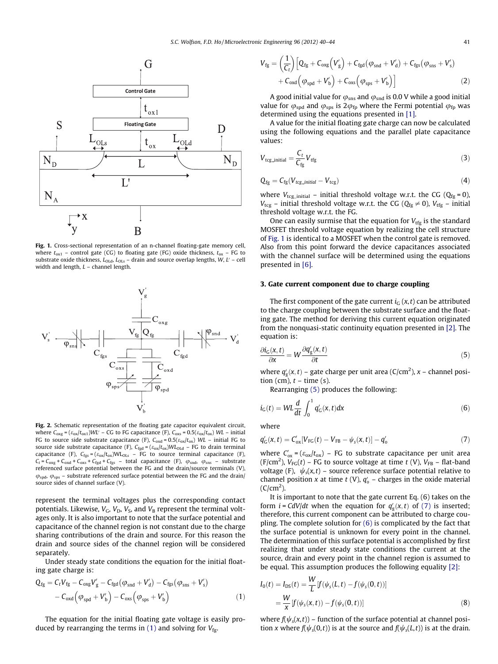<span id="page-1-0"></span>

Fig. 1. Cross-sectional representation of an n-channel floating-gate memory cell, where  $t_{\alpha x1}$  – control gate (CG) to floating gate (FG) oxide thickness,  $t_{\alpha x}$  – FG to substrate oxide thickness,  $L_{\text{Old}}$ ,  $L_{\text{OLS}}$  – drain and source overlap lengths, W,  $L'$  – cell width and length,  $L$  – channel length.



Fig. 2. Schematic representation of the floating gate capacitor equivalent circuit, where  $C_{\text{oxg}} = (\varepsilon_{\text{ox}}/t_{\text{ox1}})W L'$  – CG to FG capacitance (F),  $C_{\text{oxs}} = 0.5(\varepsilon_{\text{ox}}/t_{\text{ox}}) W L$  – initial FG to source side substrate capacitance (F),  $C_{\text{oxd}} = 0.5(\varepsilon_{\text{ox}}/t_{\text{ox}})$  WL – initial FG to source side substrate capacitance (F),  $C_{\text{fgd}} = (\varepsilon_{ox}/t_{ox})WL_{\text{Old}}$  – FG to drain terminal capacitance (F),  $C_{\text{fgs}} = (\varepsilon_{ox}/t_{ox})WL_{OLs}$  – FG to source terminal capacitance (F),  $C_t = C_{\text{oxg}} + C_{\text{oxd}} + C_{\text{oxs}} + C_{\text{fgd}} + C_{\text{fgs}}$  – total capacitance (F),  $\varphi_{\text{snd}}$ ,  $\varphi_{\text{sns}}$  – substrate referenced surface potential between the FG and the drain/source terminals (V),  $\varphi_{\text{spd}}$ ,  $\varphi_{\text{sps}}$  – substrate referenced surface potential between the FG and the drain/ source sides of channel surface (V).

represent the terminal voltages plus the corresponding contact potentials. Likewise,  $V_G$ ,  $V_D$ ,  $V_S$ , and  $V_B$  represent the terminal voltages only. It is also important to note that the surface potential and capacitance of the channel region is not constant due to the charge sharing contributions of the drain and source. For this reason the drain and source sides of the channel region will be considered separately.

Under steady state conditions the equation for the initial floating gate charge is:

$$
Q_{fg} = C_t V_{fg} - C_{oxg} V'_g - C_{fgd} (\varphi_{snd} + V'_d) - C_{fgs} (\varphi_{sns} + V'_s)
$$
  
- 
$$
C_{oxd} (\varphi_{spd} + V'_b) - C_{oxs} (\varphi_{sps} + V'_b)
$$
 (1)

The equation for the initial floating gate voltage is easily produced by rearranging the terms in (1) and solving for  $V_{\text{fg}}$ .

$$
V_{\text{fg}} = \left(\frac{1}{C_t}\right) \left[Q_{\text{fg}} + C_{\text{oxg}} \left(V_g'\right) + C_{\text{fgd}} \left(\varphi_{\text{snd}} + V_d'\right) + C_{\text{fgs}} \left(\varphi_{\text{sns}} + V_s'\right) \\ + C_{\text{oxd}} \left(\varphi_{\text{spd}} + V_b'\right) + C_{\text{oxs}} \left(\varphi_{\text{sps}} + V_b'\right) \right]
$$
(2)

A good initial value for  $\varphi_{\text{sns}}$  and  $\varphi_{\text{snd}}$  is 0.0 V while a good initial value for  $\varphi_{\text{snd}}$  and  $\varphi_{\text{sns}}$  is 2 $\varphi_{\text{fn}}$  where the Fermi potential  $\varphi_{\text{fn}}$  was determined using the equations presented in [\[1\]](#page--1-0).

A value for the initial floating gate charge can now be calculated using the following equations and the parallel plate capacitance values:

$$
V_{\text{tcg\_initial}} = \frac{C_t}{C_{\text{fg}}} V_{\text{tfg}} \tag{3}
$$

$$
Q_{fg} = C_{fg}(V_{tcg\_initial} - V_{tcg})
$$
\n(4)

where  $V_{\text{tcg\_initial}}$  – initial threshold voltage w.r.t. the CG ( $Q_{\text{fc}} = 0$ ),  $V_{\text{tcg}}$  – initial threshold voltage w.r.t. the CG ( $Q_{\text{fg}} \neq 0$ ),  $V_{\text{tfg}}$  – initial threshold voltage w.r.t. the FG.

One can easily surmise that the equation for  $V_{\text{tfg}}$  is the standard MOSFET threshold voltage equation by realizing the cell structure of Fig. 1 is identical to a MOSFET when the control gate is removed. Also from this point forward the device capacitances associated with the channel surface will be determined using the equations presented in [\[6\]](#page--1-0).

#### 3. Gate current component due to charge coupling

The first component of the gate current  $i_G(x,t)$  can be attributed to the charge coupling between the substrate surface and the floating gate. The method for deriving this current equation originated from the nonquasi-static continuity equation presented in [\[2\]](#page--1-0). The equation is:

$$
\frac{\partial i_{\mathsf{G}}(x,t)}{\partial x} = W \frac{\partial q'_{\mathsf{g}}(x,t)}{\partial t} \tag{5}
$$

where  $q'_{g}(x,t)$  – gate charge per unit area (C/cm<sup>2</sup>), x – channel position (cm),  $t -$  time (s).

Rearranging (5) produces the following:

$$
i_{\mathcal{G}}(t) = WL \frac{d}{dt} \int_0^1 q'_{\mathcal{G}}(x, t) dx
$$
\n(6)

where

$$
q'_{G}(x,t) = C'_{ox}[V_{FG}(t) - V_{FB} - \psi_{s}(x,t)] - q'_{o}
$$
\n(7)

where  $C'_{ox} = (\varepsilon_{ox}/t_{ox})$  – FG to substrate capacitance per unit area (F/cm<sup>2</sup>),  $V_{FG}(t)$  – FG to source voltage at time t (V),  $V_{FB}$  – flat-band voltage (F),  $\psi_s(x,t)$  – source reference surface potential relative to channel position x at time t (V),  $q_0'$  – charges in the oxide material  $(C/cm<sup>2</sup>)$ .

It is important to note that the gate current Eq. (6) takes on the form  $i$  = CdV/dt when the equation for  $q'_{g}(x,t)$  of (7) is inserted; therefore, this current component can be attributed to charge coupling. The complete solution for (6) is complicated by the fact that the surface potential is unknown for every point in the channel. The determination of this surface potential is accomplished by first realizing that under steady state conditions the current at the source, drain and every point in the channel region is assumed to be equal. This assumption produces the following equality [\[2\]:](#page--1-0)

$$
I_0(t) = I_{DS}(t) = \frac{W}{L} [f(\psi_s(L, t) - f(\psi_s(0, t))]
$$
  
=  $\frac{W}{\chi} [f(\psi_s(x, t)) - f(\psi_s(0, t))]$  (8)

where  $f(\psi_s(x,t))$  – function of the surface potential at channel position x where  $f(\psi_s(0,t))$  is at the source and  $f(\psi_s(L,t))$  is at the drain.